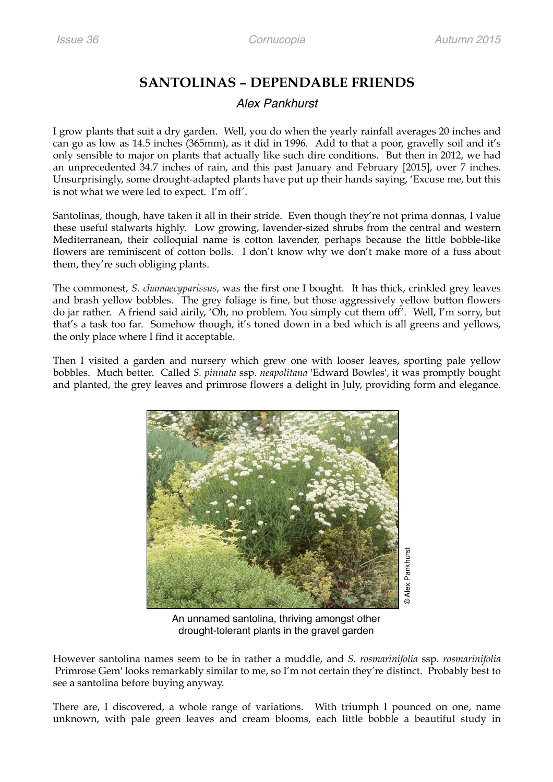## **SANTOLINAS – DEPENDABLE FRIENDS**

## *Alex Pankhurst*

I grow plants that suit a dry garden. Well, you do when the yearly rainfall averages 20 inches and can go as low as 14.5 inches (365mm), as it did in 1996. Add to that a poor, gravelly soil and it's only sensible to major on plants that actually like such dire conditions. But then in 2012, we had an unprecedented 34.7 inches of rain, and this past January and February [2015], over 7 inches. Unsurprisingly, some drought-adapted plants have put up their hands saying, 'Excuse me, but this is not what we were led to expect. I'm off'.

Santolinas, though, have taken it all in their stride. Even though they're not prima donnas, I value these useful stalwarts highly. Low growing, lavender-sized shrubs from the central and western Mediterranean, their colloquial name is cotton lavender, perhaps because the little bobble-like flowers are reminiscent of cotton bolls. I don't know why we don't make more of a fuss about them, they're such obliging plants.

The commonest, *S. chamaecyparissus*, was the first one I bought. It has thick, crinkled grey leaves and brash yellow bobbles. The grey foliage is fine, but those aggressively yellow button flowers do jar rather. A friend said airily, 'Oh, no problem. You simply cut them off'. Well, I'm sorry, but that's a task too far. Somehow though, it's toned down in a bed which is all greens and yellows, the only place where I find it acceptable.

Then I visited a garden and nursery which grew one with looser leaves, sporting pale yellow bobbles. Much better. Called *S. pinnata* ssp. *neapolitana* 'Edward Bowles', it was promptly bought and planted, the grey leaves and primrose flowers a delight in July, providing form and elegance.



An unnamed santolina, thriving amongst other drought-tolerant plants in the gravel garden

However santolina names seem to be in rather a muddle, and *S. rosmarinifolia* ssp. *rosmarinifolia* 'Primrose Gem' looks remarkably similar to me, so I'm not certain they're distinct. Probably best to see a santolina before buying anyway.

There are, I discovered, a whole range of variations. With triumph I pounced on one, name unknown, with pale green leaves and cream blooms, each little bobble a beautiful study in